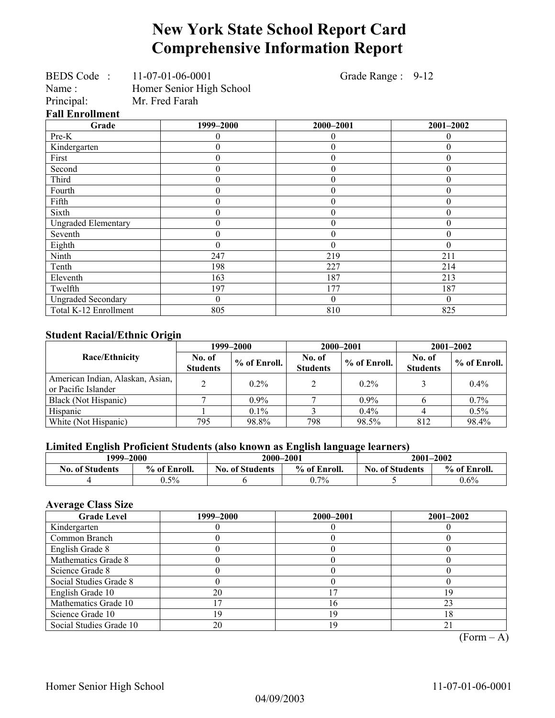## **New York State School Report Card Comprehensive Information Report**

| BEDS Code: 11-07-01-06-0001 |                                 | Grade Range : 9-12 |                  |  |
|-----------------------------|---------------------------------|--------------------|------------------|--|
| Name:                       | <b>Homer Senior High School</b> |                    |                  |  |
| Principal:                  | Mr. Fred Farah                  |                    |                  |  |
| <b>Fall Enrollment</b>      |                                 |                    |                  |  |
| Grade                       | 1999-2000                       | 2000-2001          | 2001-2002        |  |
| Pre-K                       | 0                               | 0                  | 0                |  |
| Kindergarten                | $\theta$                        | $\theta$           | $\theta$         |  |
| First                       | $\boldsymbol{0}$                | $\boldsymbol{0}$   | $\overline{0}$   |  |
| Second                      | $\boldsymbol{0}$                | $\boldsymbol{0}$   | $\theta$         |  |
| Third                       | $\boldsymbol{0}$                | $\boldsymbol{0}$   | $\overline{0}$   |  |
| Fourth                      | $\boldsymbol{0}$                | $\boldsymbol{0}$   | $\boldsymbol{0}$ |  |
| Fifth                       | $\boldsymbol{0}$                | $\boldsymbol{0}$   | $\theta$         |  |
| Sixth                       | $\theta$                        | $\boldsymbol{0}$   | $\theta$         |  |
| <b>Ungraded Elementary</b>  | $\boldsymbol{0}$                | $\boldsymbol{0}$   | $\overline{0}$   |  |
| Seventh                     | $\theta$                        | $\boldsymbol{0}$   | $\overline{0}$   |  |
| Eighth                      | $\Omega$                        | $\theta$           | $\theta$         |  |
| Ninth                       | 247                             | 219                | 211              |  |
| Tenth                       | 198                             | 227                | 214              |  |
| Eleventh                    | 163                             | 187                | 213              |  |
| Twelfth                     | 197                             | 177                | 187              |  |
| <b>Ungraded Secondary</b>   | $\theta$                        | $\theta$           | $\theta$         |  |
| Total K-12 Enrollment       | 805                             | 810                | 825              |  |

#### **Student Racial/Ethnic Origin**

|                                                         | 1999–2000                 |              |                           | 2000-2001    | $2001 - 2002$             |                |
|---------------------------------------------------------|---------------------------|--------------|---------------------------|--------------|---------------------------|----------------|
| <b>Race/Ethnicity</b>                                   | No. of<br><b>Students</b> | % of Enroll. | No. of<br><b>Students</b> | % of Enroll. | No. of<br><b>Students</b> | $%$ of Enroll. |
| American Indian, Alaskan, Asian,<br>or Pacific Islander | ↑                         | $0.2\%$      |                           | $0.2\%$      |                           | $0.4\%$        |
| Black (Not Hispanic)                                    |                           | $0.9\%$      |                           | $0.9\%$      |                           | $0.7\%$        |
| Hispanic                                                |                           | 0.1%         |                           | $0.4\%$      |                           | $0.5\%$        |
| White (Not Hispanic)                                    | 795                       | 98.8%        | 798                       | 98.5%        | 812                       | 98.4%          |

### **Limited English Proficient Students (also known as English language learners)**

| 1999–2000              |              | 2000-2001              |              | $2001 - 2002$          |              |  |
|------------------------|--------------|------------------------|--------------|------------------------|--------------|--|
| <b>No. of Students</b> | % of Enroll. | <b>No. of Students</b> | % of Enroll. | <b>No. of Students</b> | % of Enroll. |  |
|                        | $0.5\%$      |                        | $0.7\%$      |                        | $0.6\%$      |  |

### **Average Class Size**

| 19 |
|----|
| 23 |
| 18 |
|    |
|    |

 $(Form – A)$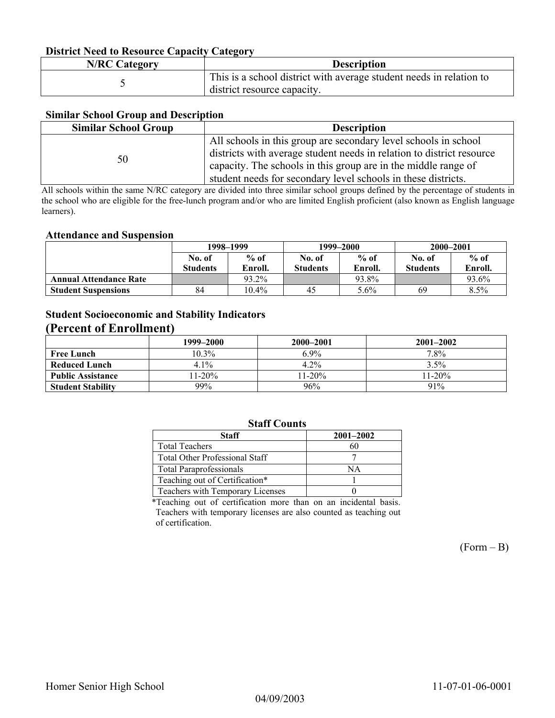#### **District Need to Resource Capacity Category**

| <b>N/RC Category</b> | <b>Description</b>                                                                                 |
|----------------------|----------------------------------------------------------------------------------------------------|
|                      | This is a school district with average student needs in relation to<br>district resource capacity. |

#### **Similar School Group and Description**

| <b>Similar School Group</b><br><b>Description</b> |                                                                       |  |  |  |
|---------------------------------------------------|-----------------------------------------------------------------------|--|--|--|
| 50                                                | All schools in this group are secondary level schools in school       |  |  |  |
|                                                   | districts with average student needs in relation to district resource |  |  |  |
|                                                   | capacity. The schools in this group are in the middle range of        |  |  |  |
|                                                   | student needs for secondary level schools in these districts.         |  |  |  |

All schools within the same N/RC category are divided into three similar school groups defined by the percentage of students in the school who are eligible for the free-lunch program and/or who are limited English proficient (also known as English language learners).

#### **Attendance and Suspension**

|                               | 1998–1999       |          |                 | 1999–2000 | 2000-2001       |         |
|-------------------------------|-----------------|----------|-----------------|-----------|-----------------|---------|
|                               | No. of          | $%$ of   | No. of          | $%$ of    | No. of          | $%$ of  |
|                               | <b>Students</b> | Enroll.  | <b>Students</b> | Enroll.   | <b>Students</b> | Enroll. |
| <b>Annual Attendance Rate</b> |                 | 93.2%    |                 | 93.8%     |                 | 93.6%   |
| <b>Student Suspensions</b>    | 84              | $10.4\%$ | 45              | 5.6%      | 69              | 8.5%    |

### **Student Socioeconomic and Stability Indicators (Percent of Enrollment)**

|                          | 1999-2000 | 2000-2001 | $2001 - 2002$ |
|--------------------------|-----------|-----------|---------------|
| <b>Free Lunch</b>        | $10.3\%$  | $6.9\%$   | 7.8%          |
| Reduced Lunch            | $4.1\%$   | $4.2\%$   | $3.5\%$       |
| <b>Public Assistance</b> | $11-20%$  | $11-20%$  | $11 - 20\%$   |
| <b>Student Stability</b> | 99%       | 96%       | 91%           |

#### **Staff Counts**

| <b>Staff</b>                          | $2001 - 2002$ |
|---------------------------------------|---------------|
| <b>Total Teachers</b>                 | 61            |
| <b>Total Other Professional Staff</b> |               |
| <b>Total Paraprofessionals</b>        | ΝA            |
| Teaching out of Certification*        |               |
| Teachers with Temporary Licenses      |               |

\*Teaching out of certification more than on an incidental basis. Teachers with temporary licenses are also counted as teaching out of certification.

 $(Form - B)$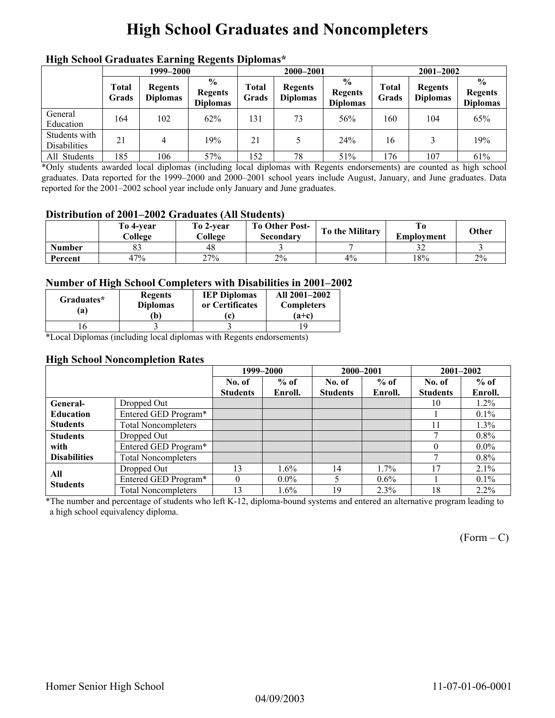## **High School Graduates and Noncompleters**

|                               | men senoor sraaaatos marmine riegents Diplomas<br>1999–2000 |                                   |                                                    | 2000-2001      |                            |                                                    | $2001 - 2002$  |                                   |                                                    |
|-------------------------------|-------------------------------------------------------------|-----------------------------------|----------------------------------------------------|----------------|----------------------------|----------------------------------------------------|----------------|-----------------------------------|----------------------------------------------------|
|                               | <b>Total</b><br>Grads                                       | <b>Regents</b><br><b>Diplomas</b> | $\frac{6}{9}$<br><b>Regents</b><br><b>Diplomas</b> | Total<br>Grads | Regents<br><b>Diplomas</b> | $\frac{0}{0}$<br><b>Regents</b><br><b>Diplomas</b> | Total<br>Grads | <b>Regents</b><br><b>Diplomas</b> | $\frac{6}{9}$<br><b>Regents</b><br><b>Diplomas</b> |
| General<br>Education          | 164                                                         | 102                               | 62%                                                | 131            | 73                         | 56%                                                | 160            | 104                               | 65%                                                |
| Students with<br>Disabilities | 21                                                          | 4                                 | 19%                                                | 21             |                            | 24%                                                | 16             |                                   | 19%                                                |
| All Students                  | 185                                                         | 106                               | 57%                                                | 152            | 78                         | 51%                                                | 176            | 107                               | 61%                                                |

### **High School Graduates Earning Regents Diplomas\***

\*Only students awarded local diplomas (including local diplomas with Regents endorsements) are counted as high school graduates. Data reported for the 1999–2000 and 2000–2001 school years include August, January, and June graduates. Data reported for the 2001–2002 school year include only January and June graduates.

#### **Distribution of 2001–2002 Graduates (All Students)**

|               | To 4-vear<br>College | To 2-year<br>College | <b>To Other Post-</b><br>Secondary | To the Military | Emplovment | Other |
|---------------|----------------------|----------------------|------------------------------------|-----------------|------------|-------|
| <b>Number</b> | ບມ                   | 48                   |                                    |                 | ے ر        |       |
| Percent       | 47%                  | 27%                  | 2%                                 | $4\%$           | 18%        | 2%    |

#### **Number of High School Completers with Disabilities in 2001–2002**

| Graduates*<br>'a) | <b>Regents</b><br><b>Diplomas</b><br>Ъ) | <b>IEP Diplomas</b><br>or Certificates<br>c | All 2001-2002<br><b>Completers</b><br>$(a+c)$ |
|-------------------|-----------------------------------------|---------------------------------------------|-----------------------------------------------|
|                   |                                         |                                             |                                               |

\*Local Diplomas (including local diplomas with Regents endorsements)

#### **High School Noncompletion Rates**

|                     |                            |                 | 1999-2000 |                 | 2000-2001 | 2001-2002       |         |
|---------------------|----------------------------|-----------------|-----------|-----------------|-----------|-----------------|---------|
|                     |                            | No. of          | $%$ of    | No. of          | $%$ of    | No. of          | $%$ of  |
|                     |                            | <b>Students</b> | Enroll.   | <b>Students</b> | Enroll.   | <b>Students</b> | Enroll. |
| General-            | Dropped Out                |                 |           |                 |           | 10              | $1.2\%$ |
| <b>Education</b>    | Entered GED Program*       |                 |           |                 |           |                 | $0.1\%$ |
| <b>Students</b>     | <b>Total Noncompleters</b> |                 |           |                 |           | 11              | $1.3\%$ |
| <b>Students</b>     | Dropped Out                |                 |           |                 |           | г,              | $0.8\%$ |
| with                | Entered GED Program*       |                 |           |                 |           | $\theta$        | $0.0\%$ |
| <b>Disabilities</b> | <b>Total Noncompleters</b> |                 |           |                 |           | г,              | $0.8\%$ |
| All                 | Dropped Out                | 13              | 1.6%      | 14              | $1.7\%$   | 17              | $2.1\%$ |
| <b>Students</b>     | Entered GED Program*       | $\Omega$        | $0.0\%$   |                 | $0.6\%$   |                 | $0.1\%$ |
|                     | <b>Total Noncompleters</b> | 13              | $1.6\%$   | 19              | $2.3\%$   | 18              | $2.2\%$ |

\*The number and percentage of students who left K-12, diploma-bound systems and entered an alternative program leading to a high school equivalency diploma.

 $(Form - C)$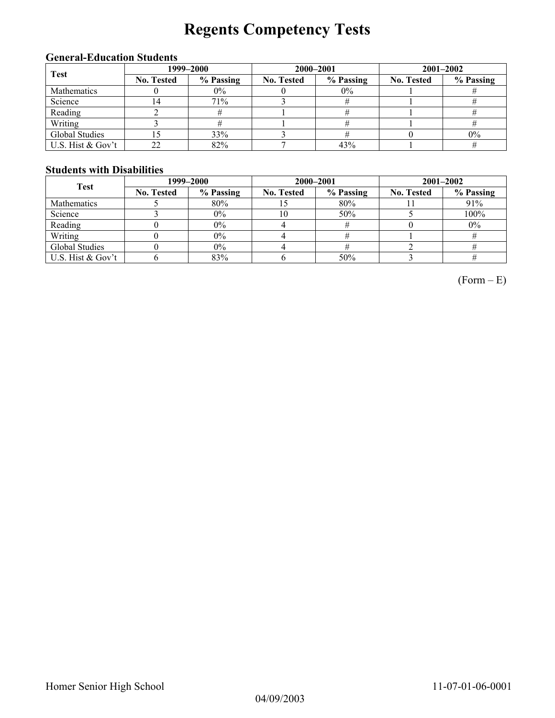# **Regents Competency Tests**

### **General-Education Students**

| <b>Test</b>       | 1999–2000         |           |                   | 2000-2001 | $2001 - 2002$     |           |  |
|-------------------|-------------------|-----------|-------------------|-----------|-------------------|-----------|--|
|                   | <b>No. Tested</b> | % Passing | <b>No. Tested</b> | % Passing | <b>No. Tested</b> | % Passing |  |
| Mathematics       |                   | $0\%$     |                   | $0\%$     |                   |           |  |
| Science           |                   | 71%       |                   |           |                   |           |  |
| Reading           |                   |           |                   |           |                   |           |  |
| Writing           |                   |           |                   |           |                   |           |  |
| Global Studies    |                   | 33%       |                   |           |                   | $0\%$     |  |
| U.S. Hist & Gov't | 22                | 82%       |                   | 43%       |                   |           |  |

#### **Students with Disabilities**

| <b>Test</b>       | 1999–2000         |           |                   | 2000-2001 | $2001 - 2002$     |           |  |
|-------------------|-------------------|-----------|-------------------|-----------|-------------------|-----------|--|
|                   | <b>No. Tested</b> | % Passing | <b>No. Tested</b> | % Passing | <b>No. Tested</b> | % Passing |  |
| Mathematics       |                   | 80%       |                   | 80%       |                   | 91%       |  |
| Science           |                   | $0\%$     | 10                | 50%       |                   | 100%      |  |
| Reading           |                   | $0\%$     |                   |           |                   | $0\%$     |  |
| Writing           |                   | $0\%$     |                   |           |                   |           |  |
| Global Studies    |                   | $0\%$     |                   |           |                   |           |  |
| U.S. Hist & Gov't |                   | 83%       |                   | 50%       |                   |           |  |

 $(Form - E)$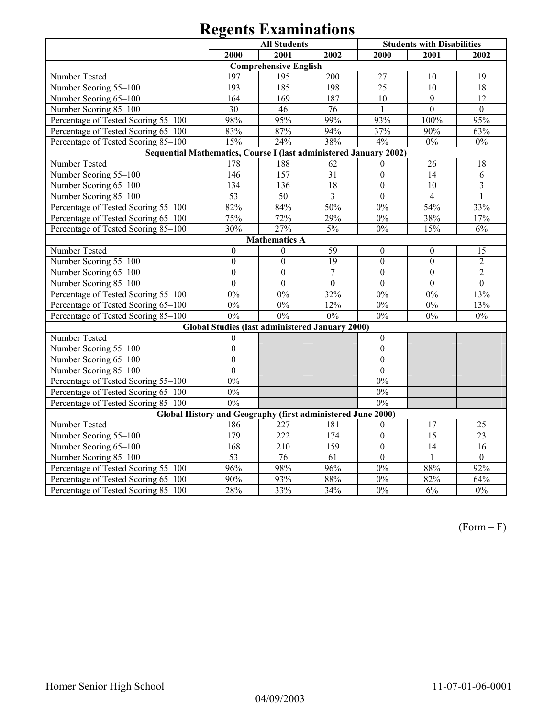| <b>All Students</b>                                               |                  |                              |                                                 |                  | <b>Students with Disabilities</b> |                         |  |  |
|-------------------------------------------------------------------|------------------|------------------------------|-------------------------------------------------|------------------|-----------------------------------|-------------------------|--|--|
|                                                                   | 2000             | 2001                         | 2002                                            | 2000             | 2001                              | 2002                    |  |  |
|                                                                   |                  | <b>Comprehensive English</b> |                                                 |                  |                                   |                         |  |  |
| Number Tested                                                     | 197              | 195                          | 200                                             | 27               | 10                                | 19                      |  |  |
| Number Scoring 55-100                                             | 193              | 185                          | 198                                             | 25               | 10                                | 18                      |  |  |
| Number Scoring 65-100                                             | 164              | 169                          | 187                                             | 10               | 9                                 | 12                      |  |  |
| Number Scoring 85-100                                             | 30               | 46                           | 76                                              | $\mathbf{1}$     | $\mathbf{0}$                      | $\boldsymbol{0}$        |  |  |
| Percentage of Tested Scoring 55-100                               | 98%              | 95%                          | 99%                                             | 93%              | 100%                              | 95%                     |  |  |
| Percentage of Tested Scoring 65-100                               | 83%              | 87%                          | 94%                                             | 37%              | 90%                               | 63%                     |  |  |
| Percentage of Tested Scoring 85-100                               | 15%              | 24%                          | 38%                                             | 4%               | $0\%$                             | $0\%$                   |  |  |
| Sequential Mathematics, Course I (last administered January 2002) |                  |                              |                                                 |                  |                                   |                         |  |  |
| Number Tested                                                     | 178              | 188                          | 62                                              | $\theta$         | 26                                | 18                      |  |  |
| Number Scoring 55-100                                             | 146              | 157                          | 31                                              | $\boldsymbol{0}$ | 14                                | 6                       |  |  |
| Number Scoring 65-100                                             | 134              | 136                          | 18                                              | $\boldsymbol{0}$ | 10                                | $\overline{\mathbf{3}}$ |  |  |
| Number Scoring 85-100                                             | $\overline{53}$  | 50                           | $\overline{3}$                                  | $\boldsymbol{0}$ | $\overline{4}$                    | $\mathbf{1}$            |  |  |
| Percentage of Tested Scoring 55-100                               | 82%              | 84%                          | $50\%$                                          | $0\%$            | 54%                               | 33%                     |  |  |
| Percentage of Tested Scoring 65-100                               | 75%              | 72%                          | 29%                                             | $0\%$            | 38%                               | 17%                     |  |  |
| Percentage of Tested Scoring 85-100                               | 30%              | 27%                          | 5%                                              | $0\%$            | 15%                               | 6%                      |  |  |
| <b>Mathematics A</b>                                              |                  |                              |                                                 |                  |                                   |                         |  |  |
| Number Tested                                                     | $\boldsymbol{0}$ | $\theta$                     | 59                                              | $\boldsymbol{0}$ | $\boldsymbol{0}$                  | 15                      |  |  |
| Number Scoring 55-100                                             | $\overline{0}$   | $\overline{0}$               | $\overline{19}$                                 | $\boldsymbol{0}$ | $\mathbf{0}$                      | $\overline{2}$          |  |  |
| Number Scoring 65-100                                             | $\mathbf{0}$     | $\overline{0}$               | $\overline{7}$                                  | $\boldsymbol{0}$ | $\boldsymbol{0}$                  | $\overline{2}$          |  |  |
| Number Scoring 85-100                                             | $\mathbf{0}$     | $\overline{0}$               | $\boldsymbol{0}$                                | $\mathbf{0}$     | $\mathbf{0}$                      | $\mathbf{0}$            |  |  |
| Percentage of Tested Scoring 55-100                               | $0\%$            | $0\%$                        | 32%                                             | $0\%$            | $0\%$                             | 13%                     |  |  |
| Percentage of Tested Scoring 65-100                               | $0\%$            | $0\%$                        | 12%                                             | $0\%$            | $0\%$                             | 13%                     |  |  |
| Percentage of Tested Scoring 85-100                               | 0%               | 0%                           | 0%                                              | $0\%$            | $0\%$                             | $0\%$                   |  |  |
|                                                                   |                  |                              | Global Studies (last administered January 2000) |                  |                                   |                         |  |  |
| Number Tested                                                     | $\mathbf{0}$     |                              |                                                 | $\mathbf{0}$     |                                   |                         |  |  |
| Number Scoring 55-100                                             | $\mathbf{0}$     |                              |                                                 | $\boldsymbol{0}$ |                                   |                         |  |  |
| Number Scoring 65-100                                             | $\mathbf{0}$     |                              |                                                 | $\boldsymbol{0}$ |                                   |                         |  |  |
| Number Scoring 85-100                                             | $\overline{0}$   |                              |                                                 | $\overline{0}$   |                                   |                         |  |  |
| Percentage of Tested Scoring 55-100                               | $\overline{0\%}$ |                              |                                                 | $0\%$            |                                   |                         |  |  |
| Percentage of Tested Scoring 65-100                               | $0\%$            |                              |                                                 | $0\%$            |                                   |                         |  |  |
| Percentage of Tested Scoring 85-100                               | 0%               |                              |                                                 | 0%               |                                   |                         |  |  |
| Global History and Geography (first administered June 2000)       |                  |                              |                                                 |                  |                                   |                         |  |  |
| Number Tested                                                     | 186              | 227                          | 181                                             | $\mathbf{0}$     | 17                                | 25                      |  |  |
| Number Scoring 55-100                                             | 179              | 222                          | 174                                             | $\boldsymbol{0}$ | $\overline{15}$                   | $\overline{23}$         |  |  |
| Number Scoring 65-100                                             | 168              | 210                          | $\overline{159}$                                | $\overline{0}$   | $\overline{14}$                   | $\overline{16}$         |  |  |
| Number Scoring 85-100                                             | 53               | 76                           | $\overline{61}$                                 | $\overline{0}$   | $\mathbf{1}$                      | $\overline{0}$          |  |  |
| Percentage of Tested Scoring 55-100                               | 96%              | 98%                          | 96%                                             | 0%               | 88%                               | 92%                     |  |  |
| Percentage of Tested Scoring 65-100                               | 90%              | 93%                          | $88\%$                                          | $0\%$            | 82%                               | 64%                     |  |  |
| Percentage of Tested Scoring 85-100                               | $\frac{1}{28%}$  | 33%                          | 34%                                             | 0%               | 6%                                | 0%                      |  |  |

(Form – F)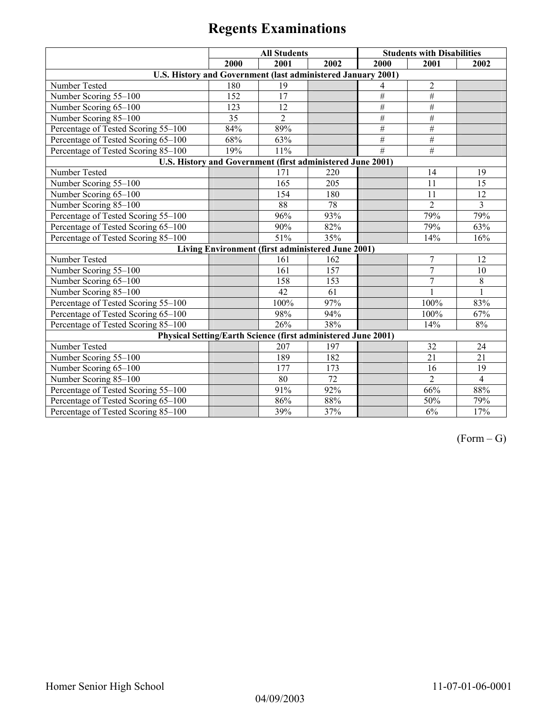|                                                                      | <b>All Students</b> |                                                   |      | <b>Students with Disabilities</b> |                 |                |
|----------------------------------------------------------------------|---------------------|---------------------------------------------------|------|-----------------------------------|-----------------|----------------|
|                                                                      | 2000                | 2001                                              | 2002 | 2000                              | 2001            | 2002           |
| U.S. History and Government (last administered January 2001)         |                     |                                                   |      |                                   |                 |                |
| Number Tested                                                        | 180                 | 19                                                |      | 4                                 | $\overline{2}$  |                |
| Number Scoring 55-100                                                | 152                 | 17                                                |      | $\#$                              | $\overline{\#}$ |                |
| Number Scoring 65-100                                                | 123                 | 12                                                |      | $\overline{\#}$                   | #               |                |
| Number Scoring 85-100                                                | 35                  | $\overline{2}$                                    |      | #                                 | $\overline{\#}$ |                |
| Percentage of Tested Scoring 55-100                                  | 84%                 | 89%                                               |      | $\overline{\#}$                   | $\#$            |                |
| Percentage of Tested Scoring 65-100                                  | 68%                 | 63%                                               |      | $\#$                              | $\#$            |                |
| Percentage of Tested Scoring 85-100                                  | 19%                 | 11%                                               |      | #                                 | $\overline{\#}$ |                |
| U.S. History and Government (first administered June 2001)           |                     |                                                   |      |                                   |                 |                |
| Number Tested                                                        |                     | 171                                               | 220  |                                   | 14              | 19             |
| Number Scoring 55-100                                                |                     | 165                                               | 205  |                                   | 11              | 15             |
| Number Scoring 65-100                                                |                     | 154                                               | 180  |                                   | 11              | 12             |
| Number Scoring 85-100                                                |                     | 88                                                | 78   |                                   | $\overline{2}$  | $\overline{3}$ |
| Percentage of Tested Scoring 55-100                                  |                     | 96%                                               | 93%  |                                   | 79%             | 79%            |
| Percentage of Tested Scoring 65-100                                  |                     | 90%                                               | 82%  |                                   | 79%             | 63%            |
| Percentage of Tested Scoring 85-100                                  |                     | 51%                                               | 35%  |                                   | 14%             | 16%            |
|                                                                      |                     | Living Environment (first administered June 2001) |      |                                   |                 |                |
| Number Tested                                                        |                     | 161                                               | 162  |                                   | $\overline{7}$  | 12             |
| Number Scoring 55-100                                                |                     | 161                                               | 157  |                                   | $\overline{7}$  | 10             |
| Number Scoring 65-100                                                |                     | 158                                               | 153  |                                   | $\overline{7}$  | 8              |
| Number Scoring 85-100                                                |                     | 42                                                | 61   |                                   | 1               | 1              |
| Percentage of Tested Scoring 55-100                                  |                     | 100%                                              | 97%  |                                   | 100%            | 83%            |
| Percentage of Tested Scoring 65-100                                  |                     | 98%                                               | 94%  |                                   | 100%            | 67%            |
| Percentage of Tested Scoring 85-100                                  |                     | 26%                                               | 38%  |                                   | 14%             | 8%             |
| <b>Physical Setting/Earth Science (first administered June 2001)</b> |                     |                                                   |      |                                   |                 |                |
| Number Tested                                                        |                     | 207                                               | 197  |                                   | 32              | 24             |
| Number Scoring 55-100                                                |                     | 189                                               | 182  |                                   | 21              | 21             |
| Number Scoring 65-100                                                |                     | 177                                               | 173  |                                   | 16              | 19             |
| Number Scoring 85-100                                                |                     | 80                                                | 72   |                                   | $\overline{2}$  | $\overline{4}$ |
| Percentage of Tested Scoring 55-100                                  |                     | 91%                                               | 92%  |                                   | 66%             | 88%            |
| Percentage of Tested Scoring 65-100                                  |                     | 86%                                               | 88%  |                                   | 50%             | 79%            |
| Percentage of Tested Scoring 85-100                                  |                     | 39%                                               | 37%  |                                   | 6%              | 17%            |

 $(Form - G)$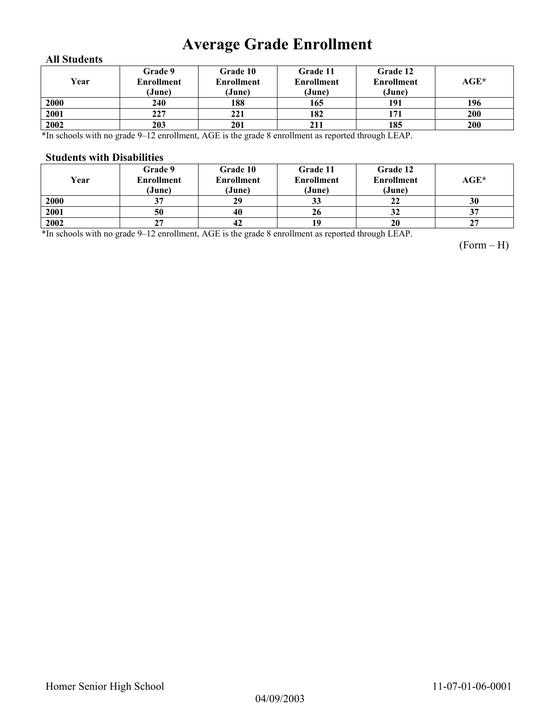## **Average Grade Enrollment**

#### **All Students**

| Year | Grade 9<br><b>Enrollment</b><br>(June) | Grade 10<br>Enrollment<br>(June) | Grade 11<br><b>Enrollment</b><br>(June) | Grade 12<br><b>Enrollment</b><br>(June) | AGE* |
|------|----------------------------------------|----------------------------------|-----------------------------------------|-----------------------------------------|------|
| 2000 | 240                                    | 188                              | 165                                     | 191                                     | 196  |
| 2001 | 227                                    | 221                              | 182                                     | 171                                     | 200  |
| 2002 | 203                                    | 201                              | 211                                     | 185                                     | 200  |

\*In schools with no grade 9–12 enrollment, AGE is the grade 8 enrollment as reported through LEAP.

#### **Students with Disabilities**

| Year | Grade 9<br><b>Enrollment</b><br>(June) | <b>Grade 10</b><br><b>Enrollment</b><br>(June) | Grade 11<br><b>Enrollment</b><br>(June) | Grade 12<br><b>Enrollment</b><br>(June) | AGE* |
|------|----------------------------------------|------------------------------------------------|-----------------------------------------|-----------------------------------------|------|
| 2000 | 37                                     | 29                                             | 33                                      | 22                                      | 30   |
| 2001 | 50                                     | 40                                             | 26                                      | 32                                      | J.   |
| 2002 | 27                                     | 42                                             | 19                                      | 20                                      | 27   |

\*In schools with no grade 9–12 enrollment, AGE is the grade 8 enrollment as reported through LEAP.

(Form – H)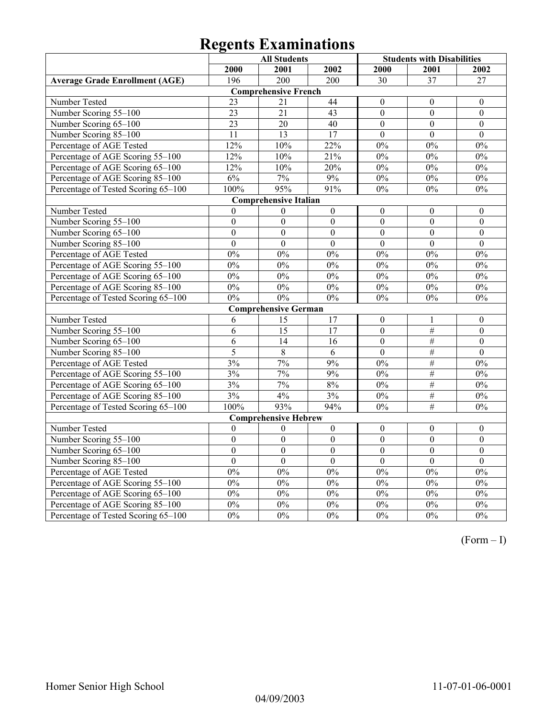|                                       | <b>All Students</b> |                              |                  | <b>Students with Disabilities</b> |                  |                  |  |
|---------------------------------------|---------------------|------------------------------|------------------|-----------------------------------|------------------|------------------|--|
|                                       | 2000                | 2001                         | 2002             | 2000                              | 2001             | 2002             |  |
| <b>Average Grade Enrollment (AGE)</b> | 196                 | 200                          | 200              | 30                                | 37               | 27               |  |
|                                       |                     | <b>Comprehensive French</b>  |                  |                                   |                  |                  |  |
| Number Tested                         | 23                  | 21                           | 44               | $\mathbf{0}$                      | $\mathbf{0}$     | $\mathbf{0}$     |  |
| Number Scoring 55-100                 | $\overline{23}$     | $\overline{21}$              | $\overline{43}$  | $\overline{0}$                    | $\overline{0}$   | $\overline{0}$   |  |
| Number Scoring 65-100                 | $\overline{23}$     | $\overline{20}$              | 40               | $\overline{0}$                    | $\overline{0}$   | $\boldsymbol{0}$ |  |
| Number Scoring 85-100                 | 11                  | 13                           | 17               | $\mathbf{0}$                      | $\mathbf{0}$     | $\mathbf{0}$     |  |
| Percentage of AGE Tested              | 12%                 | 10%                          | 22%              | 0%                                | 0%               | 0%               |  |
| Percentage of AGE Scoring 55-100      | 12%                 | 10%                          | 21%              | 0%                                | 0%               | 0%               |  |
| Percentage of AGE Scoring 65-100      | 12%                 | 10%                          | 20%              | $0\%$                             | $0\%$            | $0\%$            |  |
| Percentage of AGE Scoring 85-100      | 6%                  | $7\%$                        | 9%               | 0%                                | $0\%$            | $\overline{0\%}$ |  |
| Percentage of Tested Scoring 65-100   | 100%                | 95%                          | 91%              | $0\%$                             | 0%               | $0\%$            |  |
|                                       |                     | <b>Comprehensive Italian</b> |                  |                                   |                  |                  |  |
| Number Tested                         | $\theta$            | $\theta$                     | $\boldsymbol{0}$ | $\boldsymbol{0}$                  | $\theta$         | $\mathbf{0}$     |  |
| Number Scoring 55-100                 | $\boldsymbol{0}$    | $\boldsymbol{0}$             | $\boldsymbol{0}$ | $\boldsymbol{0}$                  | $\boldsymbol{0}$ | $\boldsymbol{0}$ |  |
| Number Scoring 65-100                 | $\overline{0}$      | $\overline{0}$               | $\boldsymbol{0}$ | $\overline{0}$                    | $\mathbf{0}$     | $\boldsymbol{0}$ |  |
| Number Scoring 85-100                 | $\mathbf{0}$        | $\overline{0}$               | $\overline{0}$   | $\overline{0}$                    | $\overline{0}$   | $\overline{0}$   |  |
| Percentage of AGE Tested              | 0%                  | 0%                           | 0%               | 0%                                | 0%               | 0%               |  |
| Percentage of AGE Scoring 55-100      | $0\%$               | $0\%$                        | $0\%$            | 0%                                | $0\%$            | $0\%$            |  |
| Percentage of AGE Scoring 65-100      | 0%                  | 0%                           | 0%               | 0%                                | 0%               | 0%               |  |
| Percentage of AGE Scoring 85-100      | 0%                  | 0%                           | 0%               | 0%                                | 0%               | 0%               |  |
| Percentage of Tested Scoring 65-100   | 0%                  | 0%                           | 0%               | 0%                                | 0%               | $\overline{0\%}$ |  |
|                                       |                     | <b>Comprehensive German</b>  |                  |                                   |                  |                  |  |
| Number Tested                         | 6                   | 15                           | 17               | $\boldsymbol{0}$                  | 1                | $\boldsymbol{0}$ |  |
| Number Scoring 55-100                 | 6                   | $\overline{15}$              | 17               | $\overline{0}$                    | #                | $\overline{0}$   |  |
| Number Scoring 65-100                 | 6                   | 14                           | 16               | $\boldsymbol{0}$                  | $\overline{\#}$  | $\boldsymbol{0}$ |  |
| Number Scoring 85-100                 | 5                   | $\overline{8}$               | $\overline{6}$   | $\overline{0}$                    | $\overline{\#}$  | $\overline{0}$   |  |
| Percentage of AGE Tested              | 3%                  | 7%                           | 9%               | 0%                                | $\#$             | 0%               |  |
| Percentage of AGE Scoring 55-100      | 3%                  | 7%                           | 9%               | $0\%$                             | $\#$             | $0\%$            |  |
| Percentage of AGE Scoring 65-100      | 3%                  | 7%                           | $8\%$            | $0\%$                             | $\overline{\#}$  | $0\%$            |  |
| Percentage of AGE Scoring 85-100      | 3%                  | 4%                           | 3%               | 0%                                | #                | 0%               |  |
| Percentage of Tested Scoring 65-100   | 100%                | 93%                          | 94%              | 0%                                | #                | 0%               |  |
| <b>Comprehensive Hebrew</b>           |                     |                              |                  |                                   |                  |                  |  |
| Number Tested                         | $\theta$            | $\mathbf{0}$                 | $\boldsymbol{0}$ | $\boldsymbol{0}$                  | $\boldsymbol{0}$ | $\boldsymbol{0}$ |  |
| Number Scoring 55-100                 | $\overline{0}$      | $\overline{0}$               | $\Omega$         | $\overline{0}$                    | $\overline{0}$   | $\theta$         |  |
| Number Scoring 65-100                 | $\boldsymbol{0}$    | $\overline{0}$               | $\boldsymbol{0}$ | $\overline{0}$                    | $\boldsymbol{0}$ | $\boldsymbol{0}$ |  |
| Number Scoring 85-100                 | $\boldsymbol{0}$    | $\boldsymbol{0}$             | $\boldsymbol{0}$ | $\boldsymbol{0}$                  | $\boldsymbol{0}$ | $\boldsymbol{0}$ |  |
| Percentage of AGE Tested              | 0%                  | 0%                           | 0%               | 0%                                | 0%               | 0%               |  |
| Percentage of AGE Scoring 55-100      | 0%                  | 0%                           | 0%               | 0%                                | 0%               | 0%               |  |
| Percentage of AGE Scoring 65-100      | $0\%$               | $0\%$                        | $0\%$            | $0\%$                             | $0\%$            | $0\%$            |  |
| Percentage of AGE Scoring 85-100      | 0%                  | 0%                           | 0%               | 0%                                | $0\%$            | 0%               |  |
| Percentage of Tested Scoring 65-100   | 0%                  | 0%                           | 0%               | 0%                                | 0%               | 0%               |  |

(Form – I)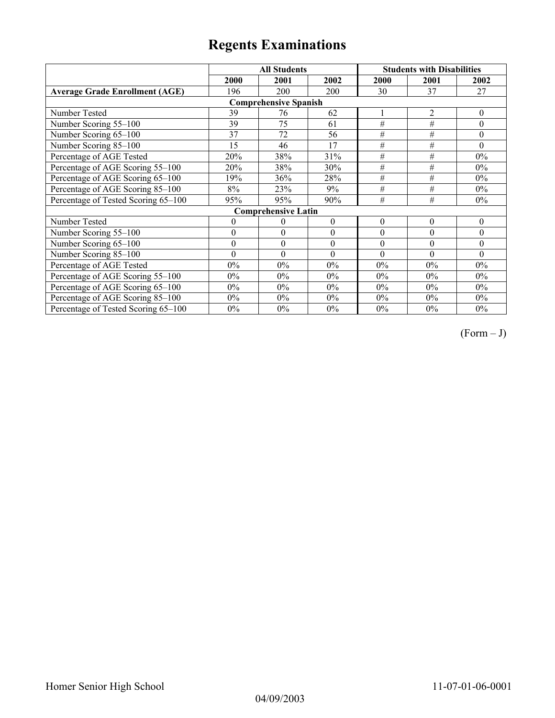|                                       | <b>All Students</b> |                            |                  | <b>Students with Disabilities</b> |                |                |  |  |
|---------------------------------------|---------------------|----------------------------|------------------|-----------------------------------|----------------|----------------|--|--|
|                                       | 2000                | 2001                       | 2002             | 2000                              | 2001           | 2002           |  |  |
| <b>Average Grade Enrollment (AGE)</b> | 196                 | <b>200</b>                 | <b>200</b>       | 30                                | 37             | 27             |  |  |
| <b>Comprehensive Spanish</b>          |                     |                            |                  |                                   |                |                |  |  |
| Number Tested                         | 39                  | 76                         | 62               |                                   | $\overline{2}$ | $\theta$       |  |  |
| Number Scoring 55-100                 | 39                  | 75                         | 61               | #                                 | #              | $\theta$       |  |  |
| Number Scoring 65-100                 | 37                  | 72                         | 56               | $\#$                              | $\#$           | $\overline{0}$ |  |  |
| Number Scoring 85-100                 | 15                  | 46                         | 17               | #                                 | #              | $\theta$       |  |  |
| Percentage of AGE Tested              | 20%                 | 38%                        | 31%              | $\#$                              | $\#$           | $0\%$          |  |  |
| Percentage of AGE Scoring 55-100      | 20%                 | 38%                        | 30%              | $\#$                              | $\#$           | $0\%$          |  |  |
| Percentage of AGE Scoring 65-100      | 19%                 | 36%                        | 28%              | #                                 | #              | 0%             |  |  |
| Percentage of AGE Scoring 85-100      | 8%                  | 23%                        | 9%               | #                                 | #              | $0\%$          |  |  |
| Percentage of Tested Scoring 65-100   | 95%                 | 95%                        | 90%              | #                                 | #              | $0\%$          |  |  |
|                                       |                     | <b>Comprehensive Latin</b> |                  |                                   |                |                |  |  |
| Number Tested                         | 0                   | 0                          | $\boldsymbol{0}$ | $\boldsymbol{0}$                  | $\theta$       | $\overline{0}$ |  |  |
| Number Scoring 55-100                 | $\theta$            | $\theta$                   | $\theta$         | $\theta$                          | $\theta$       | $\theta$       |  |  |
| Number Scoring 65-100                 | $\mathbf{0}$        | $\boldsymbol{0}$           | $\boldsymbol{0}$ | $\boldsymbol{0}$                  | $\theta$       | $\theta$       |  |  |
| Number Scoring 85-100                 | $\theta$            | $\theta$                   | $\theta$         | $\theta$                          | $\theta$       | $\Omega$       |  |  |
| Percentage of AGE Tested              | $0\%$               | 0%                         | $0\%$            | 0%                                | $0\%$          | $0\%$          |  |  |
| Percentage of AGE Scoring 55-100      | $0\%$               | $0\%$                      | $0\%$            | $0\%$                             | 0%             | $0\%$          |  |  |
| Percentage of AGE Scoring 65-100      | $0\%$               | $0\%$                      | $0\%$            | $0\%$                             | 0%             | 0%             |  |  |
| Percentage of AGE Scoring 85-100      | $0\%$               | $0\%$                      | $0\%$            | $0\%$                             | $0\%$          | $0\%$          |  |  |
| Percentage of Tested Scoring 65-100   | $0\%$               | $0\%$                      | $0\%$            | $0\%$                             | $0\%$          | $0\%$          |  |  |

 $(Form - J)$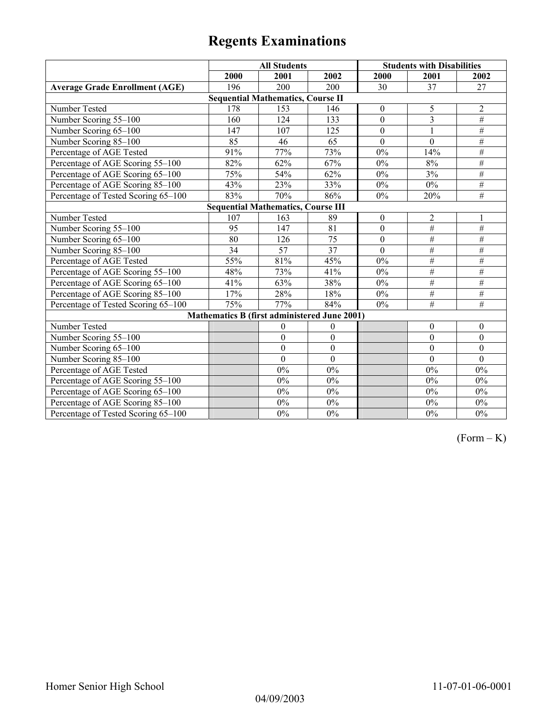|                                           | <b>All Students</b>                          |                                          |                  | <b>Students with Disabilities</b> |                  |                  |  |  |
|-------------------------------------------|----------------------------------------------|------------------------------------------|------------------|-----------------------------------|------------------|------------------|--|--|
|                                           | 2000                                         | 2001                                     | 2002             | 2000                              | 2001             | 2002             |  |  |
| <b>Average Grade Enrollment (AGE)</b>     | 196                                          | 200                                      | 200              | 30                                | 37               | 27               |  |  |
|                                           |                                              | <b>Sequential Mathematics, Course II</b> |                  |                                   |                  |                  |  |  |
| Number Tested                             | 178                                          | 153                                      | 146              | $\boldsymbol{0}$                  | 5                | $\overline{c}$   |  |  |
| Number Scoring 55-100                     | 160                                          | 124                                      | 133              | $\mathbf{0}$                      | $\overline{3}$   | $\#$             |  |  |
| Number Scoring 65-100                     | 147                                          | 107                                      | 125              | $\overline{0}$                    | 1                | $\#$             |  |  |
| Number Scoring 85-100                     | 85                                           | 46                                       | 65               | $\overline{0}$                    | $\overline{0}$   | $\#$             |  |  |
| Percentage of AGE Tested                  | 91%                                          | 77%                                      | 73%              | 0%                                | 14%              | $\#$             |  |  |
| Percentage of AGE Scoring 55-100          | 82%                                          | 62%                                      | 67%              | 0%                                | 8%               | $\#$             |  |  |
| Percentage of AGE Scoring 65-100          | 75%                                          | 54%                                      | 62%              | $0\%$                             | 3%               | $\#$             |  |  |
| Percentage of AGE Scoring 85-100          | 43%                                          | 23%                                      | 33%              | 0%                                | $0\%$            | $\overline{\#}$  |  |  |
| Percentage of Tested Scoring 65-100       | 83%                                          | 70%                                      | 86%              | $0\%$                             | 20%              | $\overline{\#}$  |  |  |
| <b>Sequential Mathematics, Course III</b> |                                              |                                          |                  |                                   |                  |                  |  |  |
| Number Tested                             | 107                                          | 163                                      | 89               | $\boldsymbol{0}$                  | $\overline{2}$   | 1                |  |  |
| Number Scoring 55-100                     | 95                                           | 147                                      | 81               | $\mathbf{0}$                      | #                | $\overline{\#}$  |  |  |
| Number Scoring 65-100                     | 80                                           | 126                                      | 75               | $\mathbf{0}$                      | $\overline{\#}$  | $\#$             |  |  |
| Number Scoring 85-100                     | 34                                           | 57                                       | $\overline{37}$  | $\mathbf{0}$                      | $\overline{\#}$  | #                |  |  |
| Percentage of AGE Tested                  | 55%                                          | 81%                                      | 45%              | $0\%$                             | $\overline{\#}$  | #                |  |  |
| Percentage of AGE Scoring 55-100          | 48%                                          | 73%                                      | 41%              | 0%                                | $\overline{\#}$  | #                |  |  |
| Percentage of AGE Scoring 65-100          | 41%                                          | 63%                                      | 38%              | $0\%$                             | $\overline{\#}$  | #                |  |  |
| Percentage of AGE Scoring 85-100          | 17%                                          | 28%                                      | 18%              | $0\%$                             | $\overline{\#}$  | $\overline{\#}$  |  |  |
| Percentage of Tested Scoring 65-100       | 75%                                          | 77%                                      | 84%              | $0\%$                             | $\overline{\#}$  | $\overline{\#}$  |  |  |
|                                           | Mathematics B (first administered June 2001) |                                          |                  |                                   |                  |                  |  |  |
| Number Tested                             |                                              | $\boldsymbol{0}$                         | $\boldsymbol{0}$ |                                   | $\boldsymbol{0}$ | $\boldsymbol{0}$ |  |  |
| Number Scoring 55-100                     |                                              | $\boldsymbol{0}$                         | $\boldsymbol{0}$ |                                   | $\mathbf{0}$     | $\boldsymbol{0}$ |  |  |
| Number Scoring 65-100                     |                                              | $\boldsymbol{0}$                         | $\boldsymbol{0}$ |                                   | $\boldsymbol{0}$ | $\boldsymbol{0}$ |  |  |
| Number Scoring 85-100                     |                                              | $\mathbf{0}$                             | $\mathbf{0}$     |                                   | $\theta$         | $\mathbf{0}$     |  |  |
| Percentage of AGE Tested                  |                                              | 0%                                       | 0%               |                                   | $0\%$            | $0\%$            |  |  |
| Percentage of AGE Scoring 55-100          |                                              | 0%                                       | $0\%$            |                                   | $0\%$            | $0\%$            |  |  |
| Percentage of AGE Scoring 65-100          |                                              | 0%                                       | $0\%$            |                                   | $0\%$            | $0\%$            |  |  |
| Percentage of AGE Scoring 85-100          |                                              | $0\%$                                    | $0\%$            |                                   | $0\%$            | $0\%$            |  |  |
| Percentage of Tested Scoring 65-100       |                                              | $0\%$                                    | $0\%$            |                                   | $0\%$            | $0\%$            |  |  |

 $(Form - K)$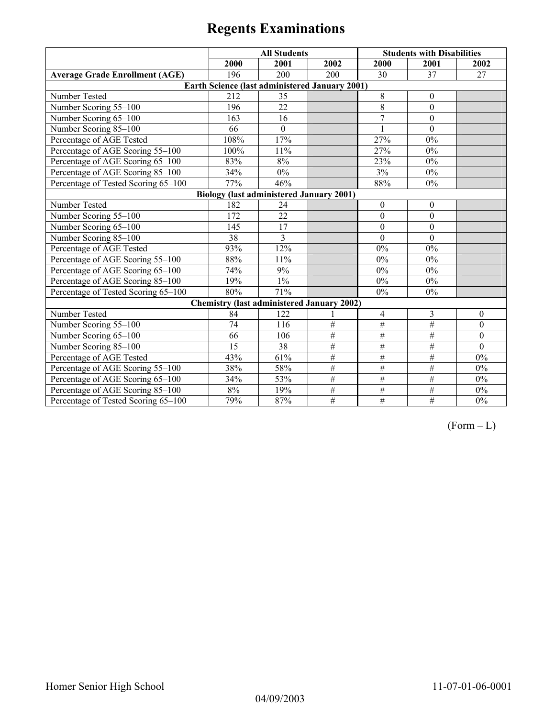|                                                 | <b>All Students</b> |                                                       |                 | <b>Students with Disabilities</b> |                  |              |  |  |
|-------------------------------------------------|---------------------|-------------------------------------------------------|-----------------|-----------------------------------|------------------|--------------|--|--|
|                                                 | 2000                | 2001                                                  | 2002            | 2000                              | 2001             | 2002         |  |  |
| <b>Average Grade Enrollment (AGE)</b>           | 196                 | 200                                                   | 200             | 30                                | 37               | 27           |  |  |
|                                                 |                     | <b>Earth Science (last administered January 2001)</b> |                 |                                   |                  |              |  |  |
| Number Tested                                   | 212                 | 35                                                    |                 | 8                                 | $\theta$         |              |  |  |
| Number Scoring 55-100                           | 196                 | 22                                                    |                 | 8                                 | $\mathbf{0}$     |              |  |  |
| Number Scoring 65-100                           | 163                 | 16                                                    |                 | $\overline{7}$                    | $\mathbf{0}$     |              |  |  |
| Number Scoring 85-100                           | 66                  | $\mathbf{0}$                                          |                 |                                   | $\Omega$         |              |  |  |
| Percentage of AGE Tested                        | 108%                | 17%                                                   |                 | 27%                               | $0\%$            |              |  |  |
| Percentage of AGE Scoring 55-100                | 100%                | 11%                                                   |                 | 27%                               | $0\%$            |              |  |  |
| Percentage of AGE Scoring 65-100                | 83%                 | 8%                                                    |                 | 23%                               | $0\%$            |              |  |  |
| Percentage of AGE Scoring 85-100                | 34%                 | $0\%$                                                 |                 | 3%                                | $0\%$            |              |  |  |
| Percentage of Tested Scoring 65-100             | 77%                 | 46%                                                   |                 | 88%                               | $0\%$            |              |  |  |
| <b>Biology (last administered January 2001)</b> |                     |                                                       |                 |                                   |                  |              |  |  |
| Number Tested                                   | 182                 | 24                                                    |                 | $\boldsymbol{0}$                  | $\boldsymbol{0}$ |              |  |  |
| Number Scoring 55-100                           | 172                 | 22                                                    |                 | $\theta$                          | $\boldsymbol{0}$ |              |  |  |
| Number Scoring 65-100                           | 145                 | $\overline{17}$                                       |                 | $\mathbf{0}$                      | $\mathbf{0}$     |              |  |  |
| Number Scoring 85-100                           | 38                  | 3                                                     |                 | $\mathbf{0}$                      | $\mathbf{0}$     |              |  |  |
| Percentage of AGE Tested                        | 93%                 | 12%                                                   |                 | 0%                                | $0\%$            |              |  |  |
| Percentage of AGE Scoring 55-100                | 88%                 | 11%                                                   |                 | 0%                                | $0\%$            |              |  |  |
| Percentage of AGE Scoring 65-100                | 74%                 | 9%                                                    |                 | $0\%$                             | $0\%$            |              |  |  |
| Percentage of AGE Scoring 85-100                | 19%                 | $1\%$                                                 |                 | $0\%$                             | $0\%$            |              |  |  |
| Percentage of Tested Scoring 65-100             | 80%                 | 71%                                                   |                 | $0\%$                             | $0\%$            |              |  |  |
|                                                 |                     | <b>Chemistry (last administered January 2002)</b>     |                 |                                   |                  |              |  |  |
| Number Tested                                   | 84                  | 122                                                   |                 | $\overline{4}$                    | 3                | $\Omega$     |  |  |
| Number Scoring 55-100                           | 74                  | 116                                                   | $\overline{\#}$ | $\#$                              | #                | $\mathbf{0}$ |  |  |
| Number Scoring 65-100                           | 66                  | 106                                                   | $\#$            | #                                 | #                | $\mathbf{0}$ |  |  |
| Number Scoring 85-100                           | 15                  | 38                                                    | $\#$            | $\overline{\#}$                   | $\overline{\#}$  | $\mathbf{0}$ |  |  |
| Percentage of AGE Tested                        | 43%                 | 61%                                                   | $\overline{\#}$ | #                                 | #                | $0\%$        |  |  |
| Percentage of AGE Scoring 55-100                | 38%                 | 58%                                                   | $\overline{\#}$ | #                                 | #                | $0\%$        |  |  |
| Percentage of AGE Scoring 65-100                | 34%                 | 53%                                                   | $\overline{\#}$ | #                                 | #                | 0%           |  |  |
| Percentage of AGE Scoring 85-100                | $8\%$               | 19%                                                   | $\#$            | $\overline{\#}$                   | $\overline{\#}$  | $0\%$        |  |  |
| Percentage of Tested Scoring 65-100             | 79%                 | 87%                                                   | #               | #                                 | $\#$             | $0\%$        |  |  |

 $(Form - L)$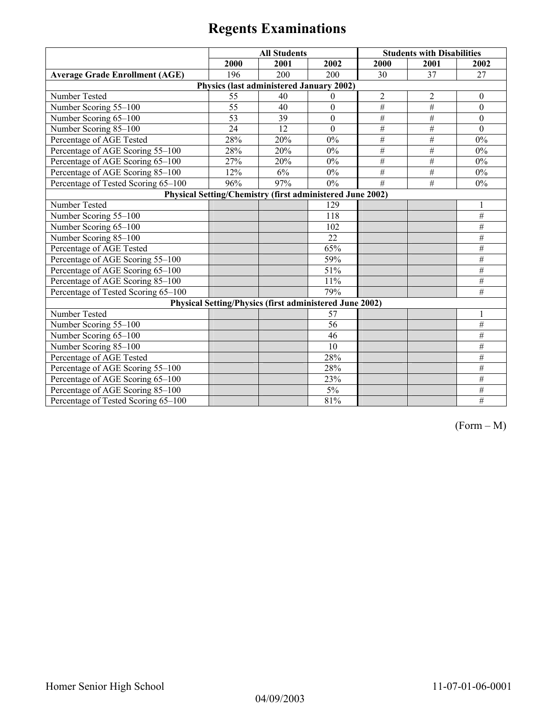|                                                           | <b>All Students</b> |                                                         |                  |                | <b>Students with Disabilities</b> |                  |  |  |
|-----------------------------------------------------------|---------------------|---------------------------------------------------------|------------------|----------------|-----------------------------------|------------------|--|--|
|                                                           | 2000                | 2001                                                    | 2002             | 2000           | 2001                              | 2002             |  |  |
| <b>Average Grade Enrollment (AGE)</b>                     | 196                 | 200                                                     | 200              | 30             | 37                                | 27               |  |  |
|                                                           |                     | Physics (last administered January 2002)                |                  |                |                                   |                  |  |  |
| Number Tested                                             | 55                  | 40                                                      | $\Omega$         | $\overline{2}$ | $\overline{2}$                    | $\theta$         |  |  |
| Number Scoring 55-100                                     | 55                  | 40                                                      | $\boldsymbol{0}$ | $\#$           | $\#$                              | $\theta$         |  |  |
| Number Scoring 65-100                                     | 53                  | 39                                                      | $\boldsymbol{0}$ | $\#$           | $\#$                              | $\boldsymbol{0}$ |  |  |
| Number Scoring 85-100                                     | 24                  | 12                                                      | $\theta$         | $\#$           | $\overline{\#}$                   | $\theta$         |  |  |
| Percentage of AGE Tested                                  | 28%                 | 20%                                                     | 0%               | $\#$           | $\#$                              | $0\%$            |  |  |
| Percentage of AGE Scoring 55-100                          | 28%                 | 20%                                                     | 0%               | $\#$           | $\#$                              | $0\%$            |  |  |
| Percentage of AGE Scoring 65-100                          | 27%                 | 20%                                                     | $0\%$            | #              | $\overline{\#}$                   | $0\%$            |  |  |
| Percentage of AGE Scoring 85-100                          | 12%                 | 6%                                                      | $0\%$            | #              | $\overline{\#}$                   | $0\%$            |  |  |
| Percentage of Tested Scoring 65-100                       | 96%                 | 97%                                                     | $0\%$            | #              | $\overline{H}$                    | $0\%$            |  |  |
| Physical Setting/Chemistry (first administered June 2002) |                     |                                                         |                  |                |                                   |                  |  |  |
| Number Tested                                             |                     |                                                         | 129              |                |                                   |                  |  |  |
| Number Scoring 55-100                                     |                     |                                                         | 118              |                |                                   | $\#$             |  |  |
| Number Scoring 65-100                                     |                     |                                                         | 102              |                |                                   | $\#$             |  |  |
| Number Scoring 85-100                                     |                     |                                                         | 22               |                |                                   | $\overline{\#}$  |  |  |
| Percentage of AGE Tested                                  |                     |                                                         | 65%              |                |                                   | #                |  |  |
| Percentage of AGE Scoring 55-100                          |                     |                                                         | 59%              |                |                                   | $\overline{\#}$  |  |  |
| Percentage of AGE Scoring 65-100                          |                     |                                                         | 51%              |                |                                   | $\#$             |  |  |
| Percentage of AGE Scoring 85-100                          |                     |                                                         | 11%              |                |                                   | $\overline{\#}$  |  |  |
| Percentage of Tested Scoring 65-100                       |                     |                                                         | 79%              |                |                                   | $\#$             |  |  |
|                                                           |                     | Physical Setting/Physics (first administered June 2002) |                  |                |                                   |                  |  |  |
| Number Tested                                             |                     |                                                         | 57               |                |                                   | 1                |  |  |
| Number Scoring 55-100                                     |                     |                                                         | $\overline{56}$  |                |                                   | $\overline{\#}$  |  |  |
| Number Scoring 65-100                                     |                     |                                                         | 46               |                |                                   | #                |  |  |
| Number Scoring 85-100                                     |                     |                                                         | 10               |                |                                   | $\#$             |  |  |
| Percentage of AGE Tested                                  |                     |                                                         | 28%              |                |                                   | $\overline{\#}$  |  |  |
| Percentage of AGE Scoring 55-100                          |                     |                                                         | 28%              |                |                                   | $\overline{\#}$  |  |  |
| Percentage of AGE Scoring 65-100                          |                     |                                                         | 23%              |                |                                   | $\#$             |  |  |
| Percentage of AGE Scoring 85-100                          |                     |                                                         | $5\%$            |                |                                   | $\overline{\#}$  |  |  |
| Percentage of Tested Scoring 65-100                       |                     |                                                         | 81%              |                |                                   | #                |  |  |

(Form – M)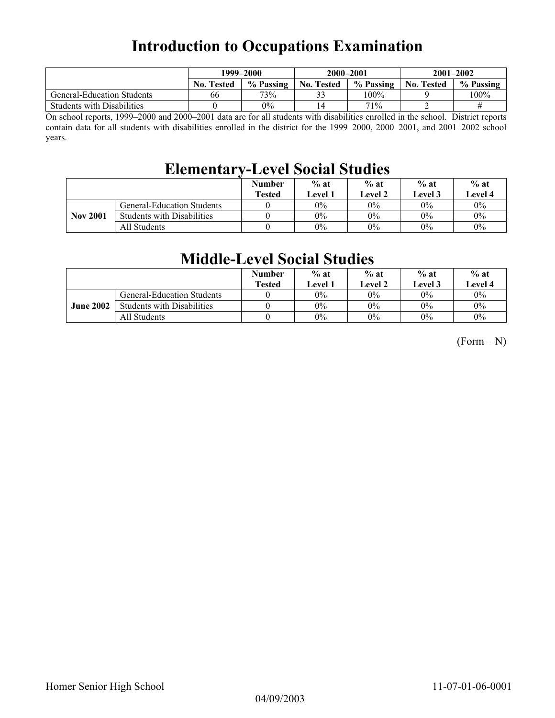## **Introduction to Occupations Examination**

|                                   | 1999–2000         |           | 2000-2001         |           | $2001 - 2002$     |           |
|-----------------------------------|-------------------|-----------|-------------------|-----------|-------------------|-----------|
|                                   | <b>No. Tested</b> | % Passing | <b>No. Tested</b> | % Passing | <b>No. Tested</b> | % Passing |
| <b>General-Education Students</b> | 66                | 73%       | 33                | 100%      |                   | 100%      |
| <b>Students with Disabilities</b> |                   | $0\%$     |                   | 71%       |                   |           |

On school reports, 1999–2000 and 2000–2001 data are for all students with disabilities enrolled in the school. District reports contain data for all students with disabilities enrolled in the district for the 1999–2000, 2000–2001, and 2001–2002 school years.

## **Elementary-Level Social Studies**

|                 |                                   | <b>Number</b><br><b>Tested</b> | $%$ at<br>Level 1 | $%$ at<br><b>Level 2</b> | $%$ at<br>Level 3 | $%$ at<br><b>Level 4</b> |
|-----------------|-----------------------------------|--------------------------------|-------------------|--------------------------|-------------------|--------------------------|
|                 | <b>General-Education Students</b> |                                | 0%                | $0\%$                    | 0%                | $0\%$                    |
| <b>Nov 2001</b> | <b>Students with Disabilities</b> |                                | $0\%$             | $0\%$                    | $0\%$             | $0\%$                    |
|                 | All Students                      |                                | 0%                | $0\%$                    | $0\%$             | $0\%$                    |

### **Middle-Level Social Studies**

|                  |                                   | <b>Number</b><br><b>Tested</b> | $%$ at<br>Level 1 | $%$ at<br>Level 2 | $%$ at<br>Level 3 | $%$ at<br>Level 4 |
|------------------|-----------------------------------|--------------------------------|-------------------|-------------------|-------------------|-------------------|
|                  | <b>General-Education Students</b> |                                | $0\%$             | $0\%$             | 0%                | $0\%$             |
| <b>June 2002</b> | <b>Students with Disabilities</b> |                                | $0\%$             | $0\%$             | $0\%$             | $0\%$             |
|                  | All Students                      |                                | $0\%$             | $0\%$             | $0\%$             | $0\%$             |

 $(Form - N)$